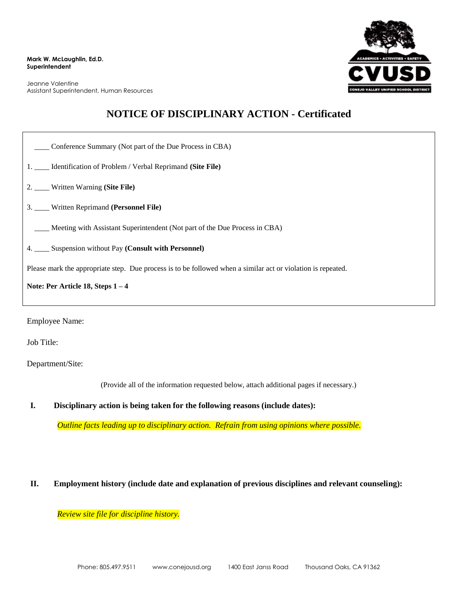**Mark W. McLaughlin, Ed.D. Superintendent**

Jeanne Valentine Assistant Superintendent, Human Resources



## **NOTICE OF DISCIPLINARY ACTION - Certificated**

| Conference Summary (Not part of the Due Process in CBA)                                                      |  |  |
|--------------------------------------------------------------------------------------------------------------|--|--|
| 1. ____ Identification of Problem / Verbal Reprimand (Site File)                                             |  |  |
| 2. ____ Written Warning (Site File)                                                                          |  |  |
| 3. Written Reprimand (Personnel File)                                                                        |  |  |
| Meeting with Assistant Superintendent (Not part of the Due Process in CBA)                                   |  |  |
| 4. ____ Suspension without Pay (Consult with Personnel)                                                      |  |  |
| Please mark the appropriate step. Due process is to be followed when a similar act or violation is repeated. |  |  |
| Note: Per Article 18, Steps $1-4$                                                                            |  |  |
|                                                                                                              |  |  |

Employee Name:

Job Title:

Department/Site:

(Provide all of the information requested below, attach additional pages if necessary.)

**I. Disciplinary action is being taken for the following reasons (include dates):**

*Outline facts leading up to disciplinary action. Refrain from using opinions where possible.*

## **II. Employment history (include date and explanation of previous disciplines and relevant counseling):**

*Review site file for discipline history.*